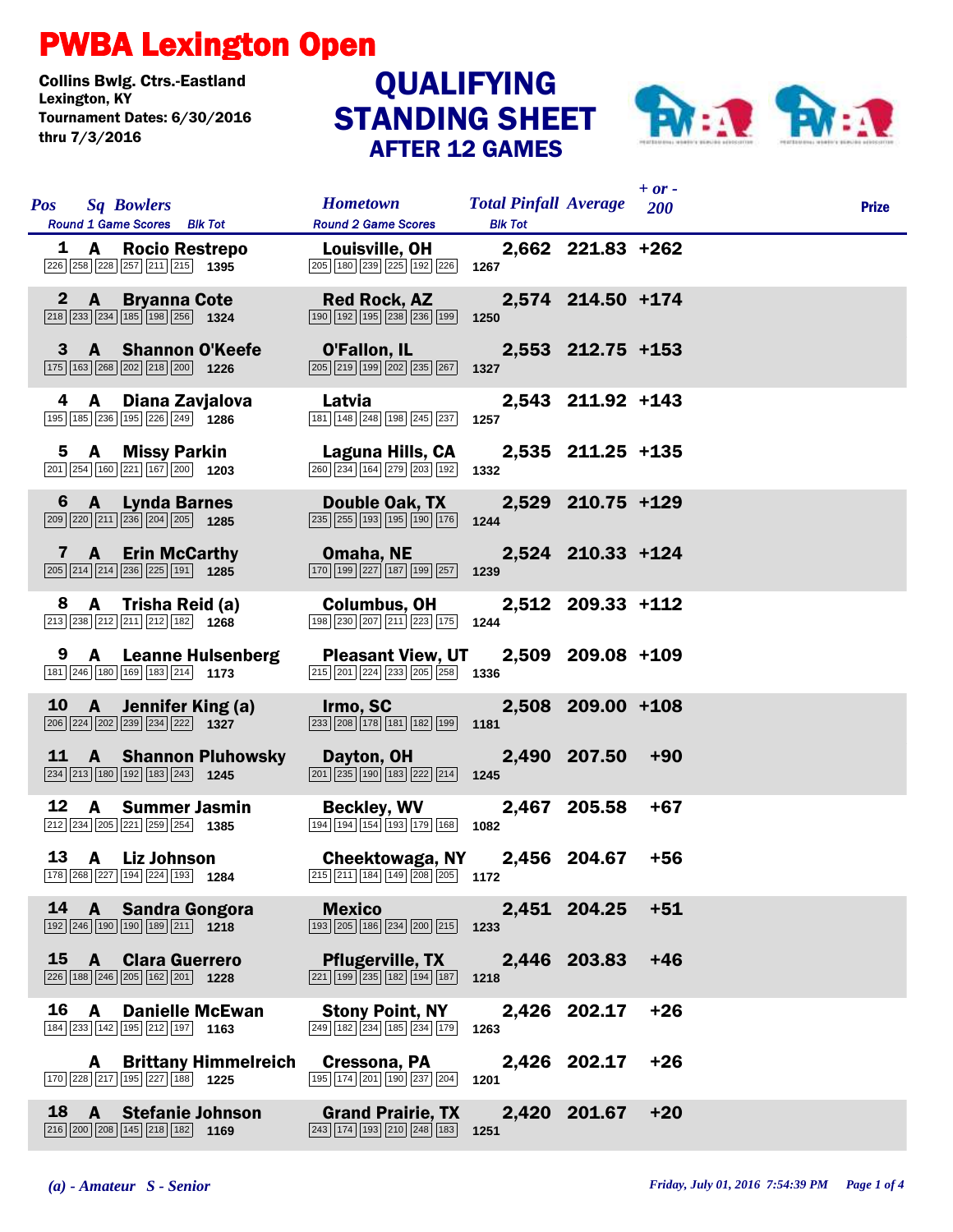## PWBA Lexington Open

Collins Bwlg. Ctrs.-Eastland Lexington, KY QUALIFYING Tournament Dates: 6/30/2016 thru 7/3/2016

## STANDING SHEET AFTER 12 GAMES



|    |                       |                                                                                                                      |                                                                                                                                            |                                                    |                   | $+$ or $-$ |              |
|----|-----------------------|----------------------------------------------------------------------------------------------------------------------|--------------------------------------------------------------------------------------------------------------------------------------------|----------------------------------------------------|-------------------|------------|--------------|
|    | <b>Pos</b> Sq Bowlers | Round 1 Game Scores Blk Tot                                                                                          | <b>Hometown</b><br><b>Round 2 Game Scores</b>                                                                                              | <b>Total Pinfall Average</b> 200<br><b>Blk Tot</b> |                   |            | <b>Prize</b> |
|    |                       | 1 A Rocio Restrepo<br>226 258 228 257 211 215 1395                                                                   | <b>Louisville, OH</b><br>$\boxed{205}$ 180 $\boxed{239}$ $\boxed{225}$ 192 $\boxed{226}$ 1267                                              |                                                    | 2,662 221.83 +262 |            |              |
|    |                       | 2 A Bryanna Cote<br>$\boxed{218}\boxed{233}\boxed{234}\boxed{185}\boxed{198}\boxed{256}$ 1324                        | <b>Red Rock, AZ</b><br>$\boxed{190}$ $\boxed{192}$ $\boxed{195}$ $\boxed{238}$ $\boxed{236}$ $\boxed{199}$                                 | 1250                                               | 2,574 214.50 +174 |            |              |
|    |                       | 3 A Shannon O'Keefe<br>175 163 268 202 218 200 1226                                                                  | <b>O'Fallon, IL</b><br>$\boxed{205}$ $\boxed{219}$ $\boxed{199}$ $\boxed{202}$ $\boxed{235}$ $\boxed{267}$ <b>1327</b>                     |                                                    | 2,553 212.75 +153 |            |              |
|    |                       | 4 A Diana Zavjalova<br>195 185 236 195 226 249 1286                                                                  | Latvia<br>181 148 248 198 245 237                                                                                                          | 1257                                               | 2,543 211.92 +143 |            |              |
|    |                       | 5 A Missy Parkin<br>$\boxed{201}$ $\boxed{254}$ $\boxed{160}$ $\boxed{221}$ $\boxed{167}$ $\boxed{200}$ <b>1203</b>  | Laguna Hills, CA<br>260 234 164 279 203 192                                                                                                | 1332                                               | 2,535 211.25 +135 |            |              |
|    |                       | 6 A Lynda Barnes<br>$\boxed{209}$ $\boxed{220}$ $\boxed{211}$ $\boxed{236}$ $\boxed{204}$ $\boxed{205}$ 1285         | Double Oak, TX<br>$\boxed{235}$ $\boxed{255}$ $\boxed{193}$ $\boxed{195}$ $\boxed{190}$ $\boxed{176}$                                      | 1244                                               | 2,529 210.75 +129 |            |              |
|    |                       | 7 A Erin McCarthy<br>$\boxed{205}$ $\boxed{214}$ $\boxed{214}$ $\boxed{236}$ $\boxed{225}$ $\boxed{191}$ <b>1285</b> | <b>Omaha, NE</b><br>$\boxed{170}$ $\boxed{199}$ $\boxed{227}$ $\boxed{187}$ $\boxed{199}$ $\boxed{257}$ <b>1239</b>                        |                                                    | 2,524 210.33 +124 |            |              |
| 8. |                       | A Trisha Reid (a)<br>$\boxed{213}$ $\boxed{238}$ $\boxed{212}$ $\boxed{211}$ $\boxed{212}$ $\boxed{182}$ <b>1268</b> | <b>Columbus, OH</b><br>198 230 207 211 223 175 1244                                                                                        |                                                    | 2,512 209.33 +112 |            |              |
|    |                       | 9 A Leanne Hulsenberg<br>181 246 180 169 183 214 173                                                                 | <b>Pleasant View, UT</b><br>$\boxed{215}$ $\boxed{201}$ $\boxed{224}$ $\boxed{233}$ $\boxed{205}$ $\boxed{258}$ <b>1336</b>                |                                                    | 2,509 209.08 +109 |            |              |
|    |                       | 10 A Jennifer King (a)<br>206 224 202 239 234 222 1327                                                               | <b>Irmo, SC Example 10</b><br>$\boxed{233}$ $\boxed{208}$ $\boxed{178}$ $\boxed{181}$ $\boxed{182}$ $\boxed{199}$ 1181                     |                                                    | 2,508 209.00 +108 |            |              |
|    |                       | 11 A Shannon Pluhowsky<br>234 213 180 192 183 243 1245                                                               | Dayton, OH<br>$\boxed{201}$ $\boxed{235}$ $\boxed{190}$ $\boxed{183}$ $\boxed{222}$ $\boxed{214}$ <b>1245</b>                              |                                                    | 2,490 207.50 +90  |            |              |
| 12 |                       | <b>A</b> Summer Jasmin<br>212 234 205 221 259 254 1385                                                               | <b>Beckley, WV</b><br>$\boxed{194}$ $\boxed{194}$ $\boxed{154}$ $\boxed{193}$ $\boxed{179}$ $\boxed{168}$ <b>1082</b>                      |                                                    | 2,467 205.58      | $+67$      |              |
|    |                       | 13 A Liz Johnson<br>178 268 227 194 224 193 1284                                                                     | Cheektowaga, NY 2,456 204.67<br>$\overline{215}$ $\overline{211}$ $\overline{184}$ $\overline{149}$ $\overline{208}$ $\overline{205}$ 1172 |                                                    |                   | $+56$      |              |
| 14 |                       | A Sandra Gongora<br>192 246 190 190 189 211 1218                                                                     | <b>Mexico</b><br>193 205 186 234 200 215                                                                                                   | 1233                                               | 2,451 204.25      | $+51$      |              |
| 15 |                       | <b>A</b> Clara Guerrero<br>226 188 246 205 162 201 1228                                                              | <b>Pflugerville, TX</b><br>221 199 235 182 194 187                                                                                         | 1218                                               | 2,446 203.83      | $+46$      |              |
| 16 | A                     | <b>Danielle McEwan</b><br>184 233 142 195 212 197 1163                                                               | <b>Stony Point, NY</b><br>249 182 234 185 234 179                                                                                          | 1263                                               | 2,426 202.17      | $+26$      |              |
|    | A                     | <b>Brittany Himmelreich</b><br>170 228 217 195 227 188 1225                                                          | Cressona, PA<br>195 174 201 190 237 204                                                                                                    | 1201                                               | 2,426 202.17      | $+26$      |              |
| 18 | $\mathbf{A}$          | <b>Stefanie Johnson</b><br>216 200 208 145 218 182 1169                                                              | <b>Grand Prairie, TX</b><br>243 174 193 210 248 183                                                                                        | 1251                                               | 2,420 201.67      | $+20$      |              |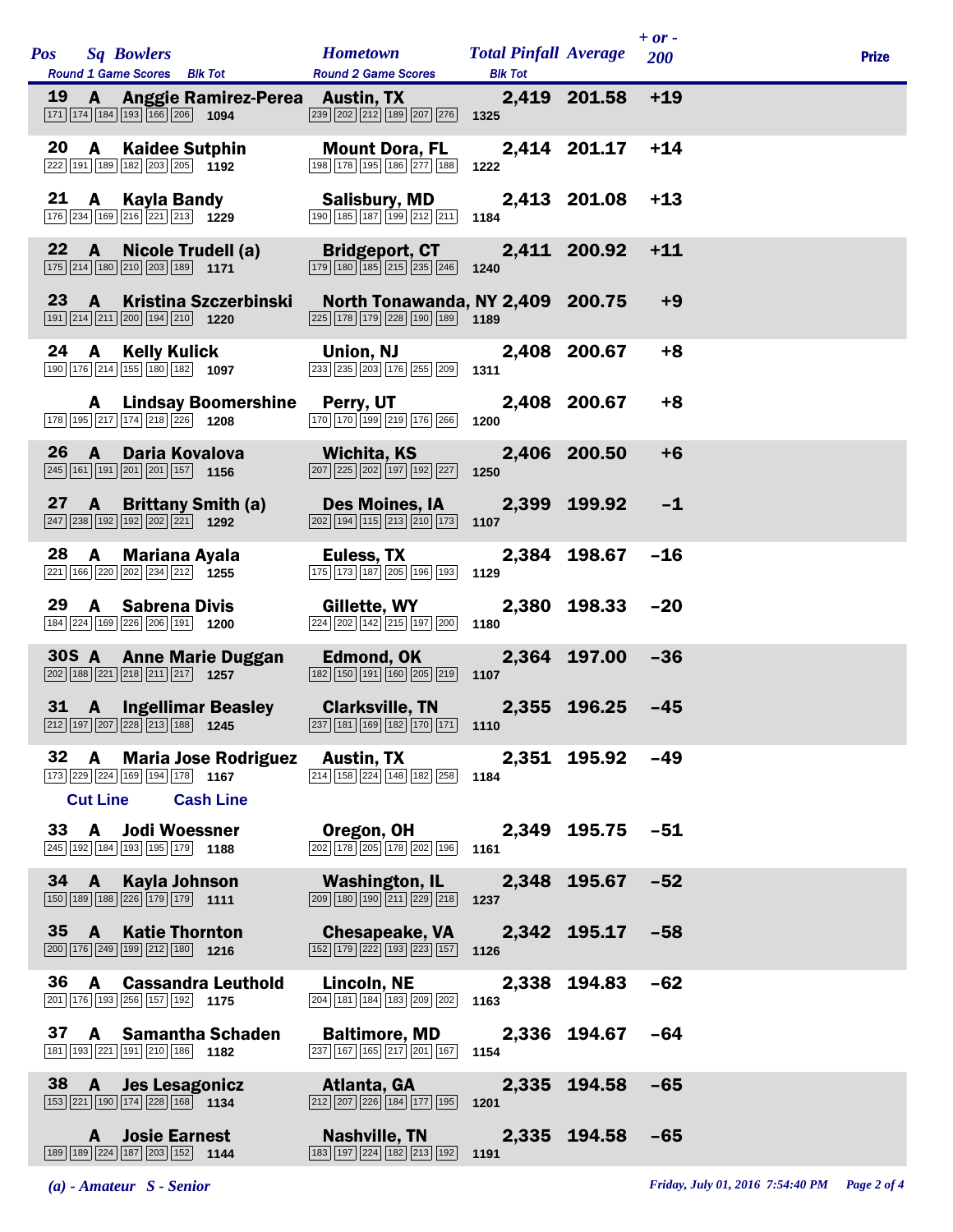|           |                 |              | Pos Sq Bowlers                                                                                                             | <b>Hometown Total Pinfall Average</b>                                                                                                |                |                  | $+ or -$<br>200 | <b>Prize</b> |
|-----------|-----------------|--------------|----------------------------------------------------------------------------------------------------------------------------|--------------------------------------------------------------------------------------------------------------------------------------|----------------|------------------|-----------------|--------------|
|           |                 |              | <b>Round 1 Game Scores</b> Blk Tot                                                                                         | <b>Round 2 Game Scores</b>                                                                                                           | <b>Blk Tot</b> |                  |                 |              |
| <b>19</b> |                 |              | $\boxed{171}$ $\boxed{174}$ $\boxed{184}$ $\boxed{193}$ $\boxed{166}$ $\boxed{206}$ <b>1094</b>                            | A Anggie Ramirez-Perea Austin, TX<br>$\boxed{239}$ $\boxed{202}$ $\boxed{212}$ $\boxed{189}$ $\boxed{207}$ $\boxed{276}$ <b>1325</b> |                | 2,419 201.58 +19 |                 |              |
|           |                 |              | 20 A Kaidee Sutphin<br>222 191 189 182 203 205 1192                                                                        | <b>Mount Dora, FL</b><br>198 178 195 186 277 188                                                                                     | 1222           | 2,414 201.17     | $+14$           |              |
|           |                 |              | 21 A Kayla Bandy<br>176 234 169 216 221 213 1229                                                                           | <b>Salisbury, MD</b><br>190 185 187 199 212 211 1184                                                                                 |                | 2,413 201.08     | $+13$           |              |
|           |                 | $22 \quad A$ | Nicole Trudell (a)<br>175 214 180 210 203 189 171                                                                          | <b>Bridgeport, CT</b><br>$\boxed{179}$ $\boxed{180}$ $\boxed{185}$ $\boxed{215}$ $\boxed{235}$ $\boxed{246}$ 1240                    |                | 2,411 200.92     | $+11$           |              |
|           |                 | $23 \quad A$ | Kristina Szczerbinski<br>191 214 211 200 194 210 1220                                                                      | North Tonawanda, NY 2,409 200.75<br>225 178 179 228 190 189 189                                                                      |                |                  | $+9$            |              |
|           | 24              |              | A Kelly Kulick<br>190 176 214 155 180 182 1097                                                                             | <b>Union, NJ</b><br>233 235 203 176 255 209                                                                                          | 1311           | 2,408 200.67     | $+8$            |              |
|           |                 |              | 178 195 217 174 218 226 1208                                                                                               | A Lindsay Boomershine Perry, UT<br>170 170 199 219 176 266 1200                                                                      |                | 2,408 200.67     | $+8$            |              |
|           | 26 <sup>1</sup> | $\mathbf{A}$ | $\boxed{245}$ 161 191 201 201 157 1156                                                                                     | Daria Kovalova Michita, KS<br>$\boxed{207}$ $\boxed{225}$ $\boxed{202}$ $\boxed{197}$ $\boxed{192}$ $\boxed{227}$ <b>1250</b>        |                | 2,406 200.50     | $+6$            |              |
|           |                 |              | 27 A Brittany Smith (a)<br>$\boxed{247}$ $\boxed{238}$ $\boxed{192}$ $\boxed{192}$ $\boxed{202}$ $\boxed{221}$ <b>1292</b> | Des Moines, IA  2,399 199.92<br>$\boxed{202}$ $\boxed{194}$ $\boxed{115}$ $\boxed{213}$ $\boxed{210}$ $\boxed{173}$ <b>1107</b>      |                |                  | $-1$            |              |
| 28        |                 |              | A Mariana Ayala<br>$\boxed{221}$ 166 $\boxed{220}$ $\boxed{202}$ $\boxed{234}$ $\boxed{212}$ 1255                          | Euless, TX<br>$\boxed{175}$ $\boxed{173}$ $\boxed{187}$ $\boxed{205}$ $\boxed{196}$ $\boxed{193}$ 1129                               |                | 2,384 198.67     | $-16$           |              |
|           | 29              |              | A Sabrena Divis<br>184 224 169 226 206 191 1200                                                                            | Gillette, WY<br>$\overline{224}$ $\overline{202}$ $\overline{142}$ $\overline{215}$ $\overline{197}$ $\overline{200}$ <b>1180</b>    |                | 2,380 198.33     | $-20$           |              |
|           |                 |              | 30S A Anne Marie Duggan<br>$\boxed{202}$ 188 $\boxed{221}$ $\boxed{218}$ $\boxed{211}$ $\boxed{217}$ 1257                  | Edmond, OK<br>$\boxed{182}$ $\boxed{150}$ $\boxed{191}$ $\boxed{160}$ $\boxed{205}$ $\boxed{219}$ <b>1107</b>                        |                | 2,364 197.00     | $-36$           |              |
|           |                 | $31 \quad A$ | <b>Ingellimar Beasley</b><br>$\boxed{212}$ 197 207 228 213 188 1245                                                        | Clarksville, TN 2,355 196.25 -45<br>$\boxed{237}$ 181 169 182 170 171 110                                                            |                |                  |                 |              |
|           |                 | 32 A         | 173 229 224 169 194 178 1167<br><b>Cut Line Cash Line</b>                                                                  | Maria Jose Rodriguez Austin, TX 2,351 195.92 -49<br>$\boxed{214}$ 158 $\boxed{224}$ 148 182 258 1184                                 |                |                  |                 |              |
|           |                 |              | 33 A Jodi Woessner<br>245 192 184 193 195 179 1188                                                                         | Oregon, OH 2,349 195.75 -51<br>$\sqrt{202}\sqrt{178}\sqrt{205}\sqrt{178}\sqrt{202}\sqrt{196}$ 1161                                   |                |                  |                 |              |
|           |                 | $34 \quad A$ | $\boxed{150}$ $\boxed{189}$ $\boxed{188}$ $\boxed{226}$ $\boxed{179}$ $\boxed{179}$ <b>1111</b>                            | Kayla Johnson Washington, IL<br>$\boxed{209}$ $\boxed{180}$ $\boxed{190}$ $\boxed{211}$ $\boxed{229}$ $\boxed{218}$                  | 1237           | 2,348 195.67 -52 |                 |              |
|           |                 | $35 \quad A$ | <b>Katie Thornton</b><br>$\boxed{200}$ 176 $\boxed{249}$ 199 $\boxed{212}$ 180 1216                                        | <b>Chesapeake, VA</b><br>$\boxed{152}$ $\boxed{179}$ $\boxed{222}$ $\boxed{193}$ $\boxed{223}$ $\boxed{157}$ <b>1126</b>             |                | 2,342 195.17 -58 |                 |              |
|           |                 | 36 A         | <b>Cassandra Leuthold</b><br>201 176 193 256 157 192 1175                                                                  | Lincoln, NE<br>204 181 184 183 209 202                                                                                               | 1163           | 2,338 194.83 -62 |                 |              |
|           |                 |              | 37 A Samantha Schaden<br>181 193 221 191 210 186 1182                                                                      | <b>Baltimore, MD 2,336 194.67</b><br>$\boxed{237}$ 167 165 217 201 167 1154                                                          |                |                  | $-64$           |              |
|           |                 |              | 38 A Jes Lesagonicz<br>$\boxed{153}\boxed{221}\boxed{190}\boxed{174}\boxed{228}\boxed{168}$ 1134                           | <b>Example 2.5 Atlanta, GA</b><br>$\overline{212}$ $\overline{207}$ $\overline{226}$ 184 177 195 1201                                |                | 2,335 194.58     | $-65$           |              |
|           |                 | A            | <b>Josie Earnest</b><br>189 189 224 187 203 152 1144                                                                       | Nashville, TN<br>$\boxed{183}$ $\boxed{197}$ $\boxed{224}$ $\boxed{182}$ $\boxed{213}$ $\boxed{192}$ <b>1191</b>                     |                | 2,335 194.58 -65 |                 |              |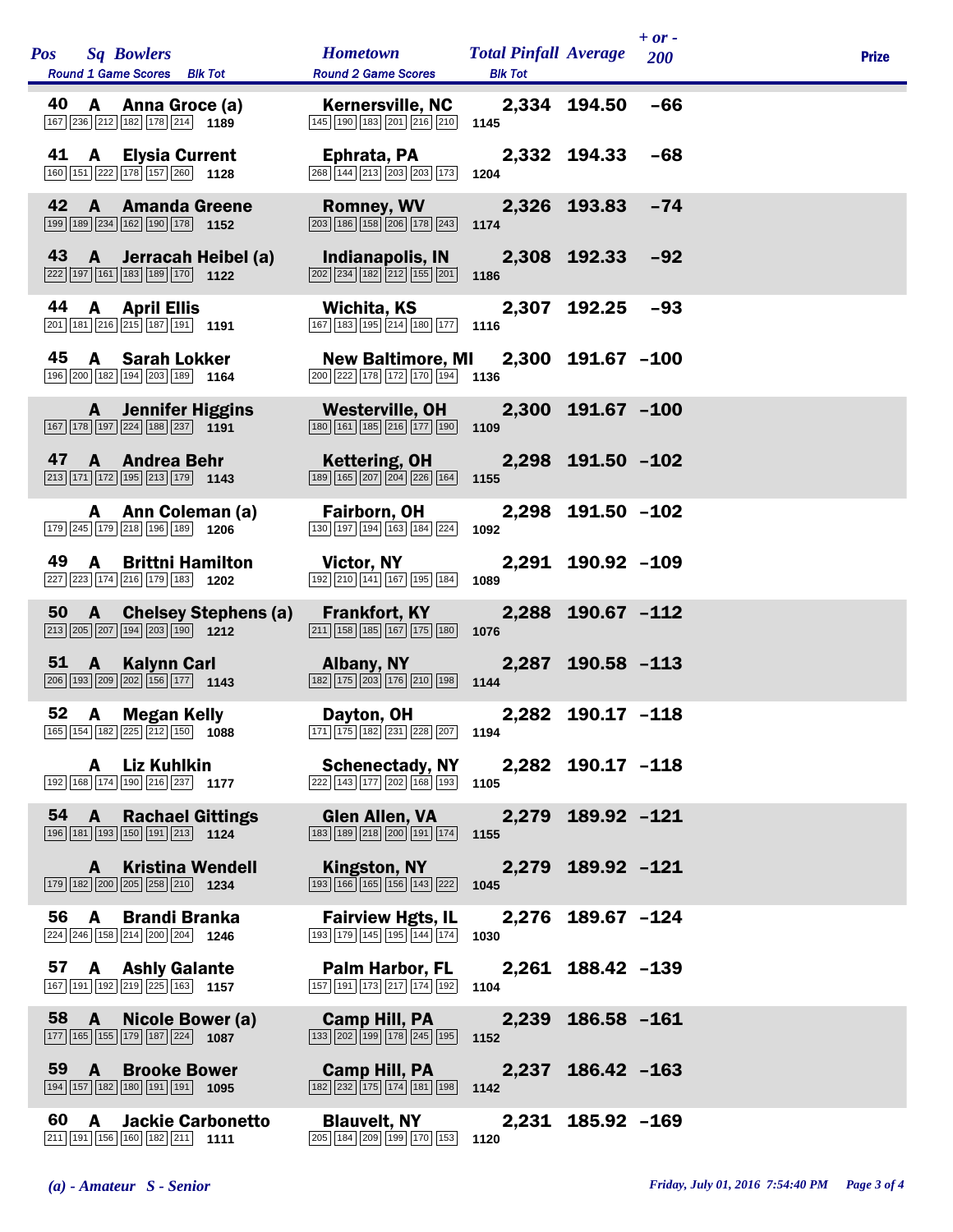| <b>Sq Bowlers</b><br><b>Pos</b><br><b>Round 1 Game Scores</b> Blk Tot                                                                      | <b>Hometown</b><br><b>Round 2 Game Scores</b>                                                                                    | <b>Total Pinfall Average</b><br><b>Blk Tot</b> |                   | $+ or -$<br>200 | <b>Prize</b> |  |
|--------------------------------------------------------------------------------------------------------------------------------------------|----------------------------------------------------------------------------------------------------------------------------------|------------------------------------------------|-------------------|-----------------|--------------|--|
| 40 A Anna Groce (a)<br>167 236 212 182 178 214 1189                                                                                        | Kernersville, NC 2,334 194.50<br>$\boxed{145}$ $\boxed{190}$ $\boxed{183}$ $\boxed{201}$ $\boxed{216}$ $\boxed{210}$ <b>1145</b> |                                                |                   | $-66$           |              |  |
| 41 A Elysia Current<br>160 151 222 178 157 260 1128                                                                                        | Ephrata, PA<br>$\overline{268}$ 144 213 203 203 173 1204                                                                         |                                                | 2,332 194.33      | -68             |              |  |
| 42 A Amanda Greene<br>$\boxed{199}$ $\boxed{189}$ $\boxed{234}$ $\boxed{162}$ $\boxed{190}$ $\boxed{178}$ 1152                             | Romney, WV 2,326 193.83<br>$\boxed{203}$ $\boxed{186}$ $\boxed{158}$ $\boxed{206}$ $\boxed{178}$ $\boxed{243}$                   | 1174                                           |                   | $-74$           |              |  |
| 43<br>A Jerracah Heibel (a)<br>$\boxed{222}$ 197 161 183 189 170 1122                                                                      | Indianapolis, IN<br>$\boxed{202}$ $\boxed{234}$ $\boxed{182}$ $\boxed{212}$ $\boxed{155}$ $\boxed{201}$                          | 1186                                           | 2,308 192.33      | $-92$           |              |  |
| 44<br>A April Ellis<br>$\boxed{201}$ 181 $\boxed{216}$ $\boxed{215}$ 187 191 191                                                           | Wichita, KS<br>$\boxed{167}$ 183 195 214 180 177 1116                                                                            |                                                | 2,307 192.25      | $-93$           |              |  |
| 45 A Sarah Lokker<br>$\boxed{196}$ $\boxed{200}$ $\boxed{182}$ $\boxed{194}$ $\boxed{203}$ $\boxed{189}$ <b>1164</b>                       | <b>New Baltimore, MI</b><br>$\boxed{200}$ $\boxed{222}$ 178 172 170 194 1136                                                     |                                                | 2,300 191.67 -100 |                 |              |  |
| <b>A</b> Jennifer Higgins<br>$\boxed{167}\boxed{178}\boxed{197}\boxed{224}\boxed{188}\boxed{237}$ 1191                                     | Westerville, OH<br>$\boxed{180}$ $\boxed{161}$ $\boxed{185}$ $\boxed{216}$ $\boxed{177}$ $\boxed{190}$                           | 1109                                           | 2,300 191.67 -100 |                 |              |  |
| 47 A Andrea Behr<br>$\boxed{213}$ 171 172 195 213 179 1143                                                                                 | Kettering, OH 2,298 191.50 -102<br>189 165 207 204 226 164 155                                                                   |                                                |                   |                 |              |  |
| A Ann Coleman (a)<br>179 245 179 218 196 189 1206                                                                                          | Fairborn, OH<br>130 197 194 163 184 224                                                                                          | 1092                                           | 2,298 191.50 -102 |                 |              |  |
| 49 A Brittni Hamilton<br>$\boxed{227}\boxed{223}\boxed{174}\boxed{216}\boxed{179}\boxed{183}$ 1202                                         | <b>Victor, NY</b><br>192 210 141 167 195 184                                                                                     | 1089                                           | 2,291 190.92 -109 |                 |              |  |
| 50 A Chelsey Stephens (a) Frankfort, KY<br>$\boxed{213}$ $\boxed{205}$ $\boxed{207}$ $\boxed{194}$ $\boxed{203}$ $\boxed{190}$ <b>1212</b> | $\boxed{211}$ $\boxed{158}$ $\boxed{185}$ $\boxed{167}$ $\boxed{175}$ $\boxed{180}$                                              | 1076                                           | 2,288 190.67 -112 |                 |              |  |
| 51 A Kalynn Carl<br>206 193 209 202 156 177 1143                                                                                           | <b>Albany, NY</b> Albany<br>$\boxed{182}$ $\boxed{175}$ $\boxed{203}$ $\boxed{176}$ $\boxed{210}$ $\boxed{198}$ 1144             |                                                | 2,287 190.58 -113 |                 |              |  |
| 52 A Megan Kelly<br>$\boxed{165}$ $\boxed{154}$ $\boxed{182}$ $\boxed{225}$ $\boxed{212}$ $\boxed{150}$ <b>1088</b>                        | Dayton, OH<br>$\boxed{171}$ $\boxed{175}$ $\boxed{182}$ $\boxed{231}$ $\boxed{228}$ $\boxed{207}$ 1194                           |                                                | 2,282 190.17 -118 |                 |              |  |
| A Liz Kuhlkin<br>192 168 174 190 216 237 1177                                                                                              | <b>Schenectady, NY</b><br>222 143 177 202 168 193 105                                                                            |                                                | 2,282 190.17 -118 |                 |              |  |
| 54<br><b>A</b> Rachael Gittings<br>196 181 193 150 191 213 1124                                                                            | <b>Glen Allen, VA</b><br>$\boxed{183}$ $\boxed{189}$ $\boxed{218}$ $\boxed{200}$ $\boxed{191}$ $\boxed{174}$                     | 1155                                           | 2,279 189.92 -121 |                 |              |  |
| <b>Kristina Wendell</b><br>A<br>179 182 200 205 258 210 1234                                                                               | Kingston, NY<br>$\boxed{193}$ $\boxed{166}$ $\boxed{165}$ $\boxed{156}$ $\boxed{143}$ $\boxed{222}$                              | 1045                                           | 2,279 189.92 -121 |                 |              |  |
| 56 A Brandi Branka<br>224 246 158 214 200 204 1246                                                                                         | <b>Fairview Hgts, IL</b><br>193 179 145 195 144 174                                                                              | 1030                                           | 2,276 189.67 -124 |                 |              |  |
| 57 A Ashly Galante<br>$\boxed{167}$ $\boxed{191}$ $\boxed{192}$ $\boxed{219}$ $\boxed{225}$ $\boxed{163}$ <b>1157</b>                      | <b>Palm Harbor, FL</b><br>157 191 173 217 174 192                                                                                | 1104                                           | 2,261 188.42 -139 |                 |              |  |
| 58 A<br><b>Nicole Bower (a)</b><br>$\boxed{177}$ 165 155 179 187 224 1087                                                                  | <b>Camp Hill, PA</b><br>$\boxed{133}$ $\boxed{202}$ $\boxed{199}$ $\boxed{178}$ $\boxed{245}$ $\boxed{195}$                      | 1152                                           | 2,239 186.58 -161 |                 |              |  |
| 59 A Brooke Bower<br>194 157 182 180 191 191 190                                                                                           | Camp Hill, PA<br>$\boxed{182}\boxed{232}\boxed{175}\boxed{174}\boxed{181}\boxed{198}$                                            | 1142                                           | 2,237 186.42 -163 |                 |              |  |
| 60 A<br><b>Jackie Carbonetto</b><br>211 191 156 160 182 211 1111                                                                           | <b>Blauvelt, NY</b><br>205 184 209 199 170 153                                                                                   | 1120                                           | 2,231 185.92 -169 |                 |              |  |